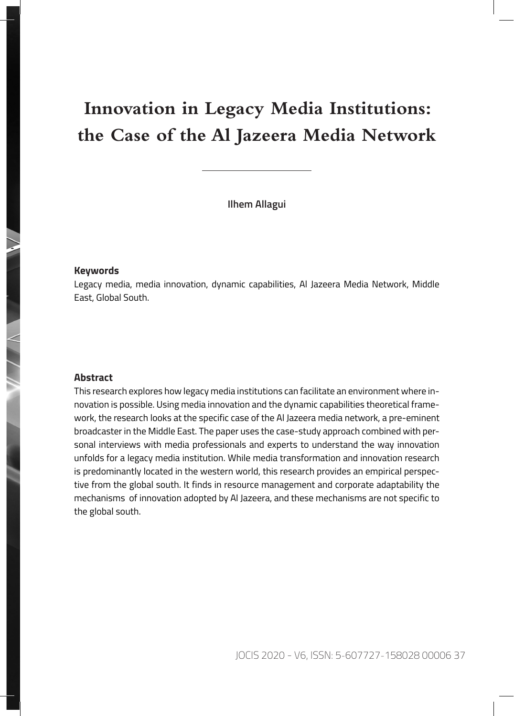# **Innovation in Legacy Media Institutions: the Case of the Al Jazeera Media Network**

**Ilhem Allagui**

#### **Keywords**

Legacy media, media innovation, dynamic capabilities, Al Jazeera Media Network, Middle East, Global South.

#### **Abstract**

This research explores how legacy media institutions can facilitate an environment where innovation is possible. Using media innovation and the dynamic capabilities theoretical framework, the research looks at the specific case of the Al Jazeera media network, a pre-eminent broadcaster in the Middle East. The paper uses the case-study approach combined with personal interviews with media professionals and experts to understand the way innovation unfolds for a legacy media institution. While media transformation and innovation research is predominantly located in the western world, this research provides an empirical perspective from the global south. It finds in resource management and corporate adaptability the mechanisms of innovation adopted by Al Jazeera, and these mechanisms are not specific to the global south.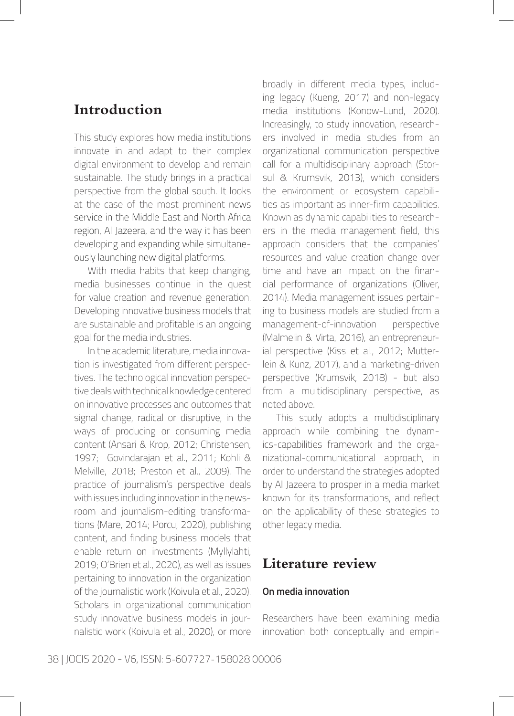## **Introduction**

This study explores how media institutions innovate in and adapt to their complex digital environment to develop and remain sustainable. The study brings in a practical perspective from the global south. It looks at the case of the most prominent news service in the Middle East and North Africa region, Al Jazeera, and the way it has been developing and expanding while simultaneously launching new digital platforms.

With media habits that keep changing, media businesses continue in the quest for value creation and revenue generation. Developing innovative business models that are sustainable and profitable is an ongoing goal for the media industries.

In the academic literature, media innovation is investigated from different perspectives. The technological innovation perspective deals with technical knowledge centered on innovative processes and outcomes that signal change, radical or disruptive, in the ways of producing or consuming media content (Ansari & Krop, 2012; Christensen, 1997; Govindarajan et al., 2011; Kohli & Melville, 2018; Preston et al., 2009). The practice of journalism's perspective deals with issues including innovation in the newsroom and journalism-editing transformations (Mare, 2014; Porcu, 2020), publishing content, and finding business models that enable return on investments (Myllylahti, 2019; O'Brien et al., 2020), as well as issues pertaining to innovation in the organization of the journalistic work (Koivula et al., 2020). Scholars in organizational communication study innovative business models in journalistic work (Koivula et al., 2020), or more broadly in different media types, including legacy (Kueng, 2017) and non-legacy media institutions (Konow-Lund, 2020). Increasingly, to study innovation, researchers involved in media studies from an organizational communication perspective call for a multidisciplinary approach (Storsul & Krumsvik, 2013), which considers the environment or ecosystem capabilities as important as inner-firm capabilities. Known as dynamic capabilities to researchers in the media management field, this approach considers that the companies' resources and value creation change over time and have an impact on the financial performance of organizations (Oliver, 2014). Media management issues pertaining to business models are studied from a management-of-innovation perspective (Malmelin & Virta, 2016), an entrepreneurial perspective (Kiss et al., 2012; Mutterlein & Kunz, 2017), and a marketing-driven perspective (Krumsvik, 2018) - but also from a multidisciplinary perspective, as noted above.

This study adopts a multidisciplinary approach while combining the dynamics-capabilities framework and the organizational-communicational approach, in order to understand the strategies adopted by Al Jazeera to prosper in a media market known for its transformations, and reflect on the applicability of these strategies to other legacy media.

### **Literature review**

#### **On media innovation**

Researchers have been examining media innovation both conceptually and empiri-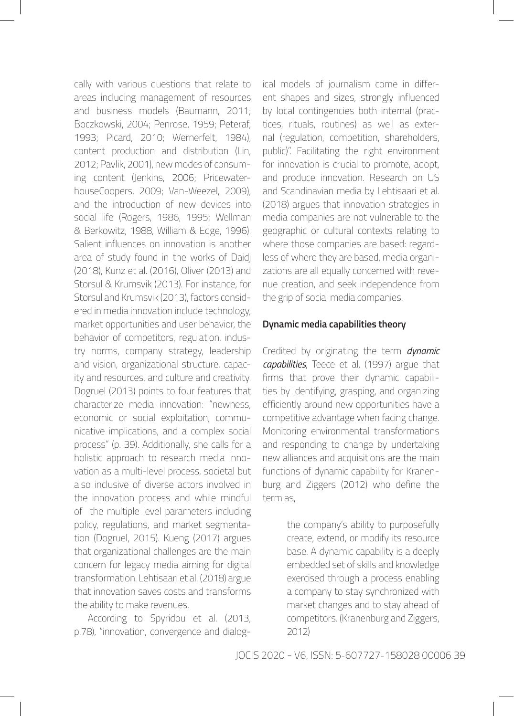cally with various questions that relate to areas including management of resources and business models (Baumann, 2011; Boczkowski, 2004; Penrose, 1959; Peteraf, 1993; Picard, 2010; Wernerfelt, 1984), content production and distribution (Lin, 2012; Pavlik, 2001), new modes of consuming content (Jenkins, 2006; PricewaterhouseCoopers, 2009; Van-Weezel, 2009), and the introduction of new devices into social life (Rogers, 1986, 1995; Wellman & Berkowitz, 1988, William & Edge, 1996). Salient influences on innovation is another area of study found in the works of Daidj (2018), Kunz et al. (2016), Oliver (2013) and Storsul & Krumsvik (2013). For instance, for Storsul and Krumsvik (2013), factors considered in media innovation include technology, market opportunities and user behavior, the behavior of competitors, regulation, industry norms, company strategy, leadership and vision, organizational structure, capacity and resources, and culture and creativity. Dogruel (2013) points to four features that characterize media innovation: "newness, economic or social exploitation, communicative implications, and a complex social process" (p. 39). Additionally, she calls for a holistic approach to research media innovation as a multi-level process, societal but also inclusive of diverse actors involved in the innovation process and while mindful of the multiple level parameters including policy, regulations, and market segmentation (Dogruel, 2015). Kueng (2017) argues that organizational challenges are the main concern for legacy media aiming for digital transformation. Lehtisaari et al. (2018) argue that innovation saves costs and transforms the ability to make revenues.

According to Spyridou et al. (2013, p.78), "innovation, convergence and dialogical models of journalism come in different shapes and sizes, strongly influenced by local contingencies both internal (practices, rituals, routines) as well as external (regulation, competition, shareholders, public)". Facilitating the right environment for innovation is crucial to promote, adopt, and produce innovation. Research on US and Scandinavian media by Lehtisaari et al. (2018) argues that innovation strategies in media companies are not vulnerable to the geographic or cultural contexts relating to where those companies are based: regardless of where they are based, media organizations are all equally concerned with revenue creation, and seek independence from the grip of social media companies.

#### **Dynamic media capabilities theory**

Credited by originating the term *dynamic capabilities*, Teece et al. (1997) argue that firms that prove their dynamic capabilities by identifying, grasping, and organizing efficiently around new opportunities have a competitive advantage when facing change. Monitoring environmental transformations and responding to change by undertaking new alliances and acquisitions are the main functions of dynamic capability for Kranenburg and Ziggers (2012) who define the term as,

> the company's ability to purposefully create, extend, or modify its resource base. A dynamic capability is a deeply embedded set of skills and knowledge exercised through a process enabling a company to stay synchronized with market changes and to stay ahead of competitors. (Kranenburg and Ziggers, 2012)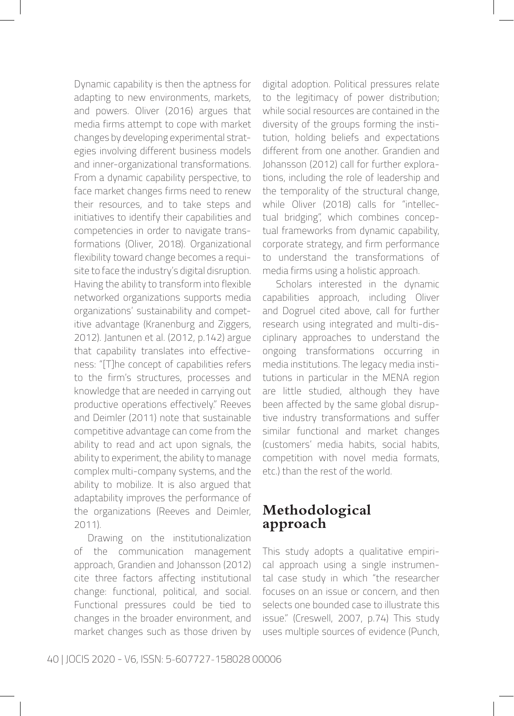Dynamic capability is then the aptness for adapting to new environments, markets, and powers. Oliver (2016) argues that media firms attempt to cope with market changes by developing experimental strategies involving different business models and inner-organizational transformations. From a dynamic capability perspective, to face market changes firms need to renew their resources, and to take steps and initiatives to identify their capabilities and competencies in order to navigate transformations (Oliver, 2018). Organizational flexibility toward change becomes a requisite to face the industry's digital disruption. Having the ability to transform into flexible networked organizations supports media organizations' sustainability and competitive advantage (Kranenburg and Ziggers, 2012). Jantunen et al. (2012, p.142) argue that capability translates into effectiveness: "[T]he concept of capabilities refers to the firm's structures, processes and knowledge that are needed in carrying out productive operations effectively." Reeves and Deimler (2011) note that sustainable competitive advantage can come from the ability to read and act upon signals, the ability to experiment, the ability to manage complex multi-company systems, and the ability to mobilize. It is also argued that adaptability improves the performance of the organizations (Reeves and Deimler, 2011).

Drawing on the institutionalization of the communication management approach, Grandien and Johansson (2012) cite three factors affecting institutional change: functional, political, and social. Functional pressures could be tied to changes in the broader environment, and market changes such as those driven by digital adoption. Political pressures relate to the legitimacy of power distribution; while social resources are contained in the diversity of the groups forming the institution, holding beliefs and expectations different from one another. Grandien and Johansson (2012) call for further explorations, including the role of leadership and the temporality of the structural change, while Oliver (2018) calls for "intellectual bridging", which combines conceptual frameworks from dynamic capability, corporate strategy, and firm performance to understand the transformations of media firms using a holistic approach.

Scholars interested in the dynamic capabilities approach, including Oliver and Dogruel cited above, call for further research using integrated and multi-disciplinary approaches to understand the ongoing transformations occurring in media institutions. The legacy media institutions in particular in the MENA region are little studied, although they have been affected by the same global disruptive industry transformations and suffer similar functional and market changes (customers' media habits, social habits, competition with novel media formats, etc.) than the rest of the world.

## **Methodological approach**

This study adopts a qualitative empirical approach using a single instrumental case study in which "the researcher focuses on an issue or concern, and then selects one bounded case to illustrate this issue." (Creswell, 2007, p.74) This study uses multiple sources of evidence (Punch,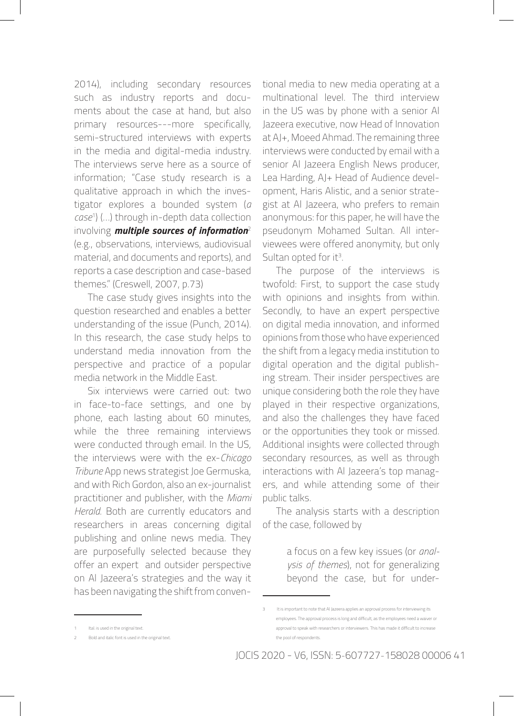2014), including secondary resources such as industry reports and documents about the case at hand, but also primary resources---more specifically, semi-structured interviews with experts in the media and digital-media industry. The interviews serve here as a source of information; "Case study research is a qualitative approach in which the investigator explores a bounded system (*a case*<sup>1</sup> ) (…) through in-depth data collection involving *multiple sources of information*<sup>2</sup> (e.g., observations, interviews, audiovisual material, and documents and reports), and reports a case description and case-based themes." (Creswell, 2007, p.73)

The case study gives insights into the question researched and enables a better understanding of the issue (Punch, 2014). In this research, the case study helps to understand media innovation from the perspective and practice of a popular media network in the Middle East.

Six interviews were carried out: two in face-to-face settings, and one by phone, each lasting about 60 minutes, while the three remaining interviews were conducted through email. In the US, the interviews were with the ex-*Chicago Tribune* App news strategist Joe Germuska, and with Rich Gordon, also an ex-journalist practitioner and publisher, with the *Miami Herald*. Both are currently educators and researchers in areas concerning digital publishing and online news media. They are purposefully selected because they offer an expert and outsider perspective on Al Jazeera's strategies and the way it has been navigating the shift from conventional media to new media operating at a multinational level. The third interview in the US was by phone with a senior Al Jazeera executive, now Head of Innovation at AJ+, Moeed Ahmad. The remaining three interviews were conducted by email with a senior Al Jazeera English News producer, Lea Harding, AJ+ Head of Audience development, Haris Alistic, and a senior strategist at Al Jazeera, who prefers to remain anonymous: for this paper, he will have the pseudonym Mohamed Sultan. All interviewees were offered anonymity, but only Sultan opted for it<sup>3</sup>.

The purpose of the interviews is twofold: First, to support the case study with opinions and insights from within. Secondly, to have an expert perspective on digital media innovation, and informed opinions from those who have experienced the shift from a legacy media institution to digital operation and the digital publishing stream. Their insider perspectives are unique considering both the role they have played in their respective organizations, and also the challenges they have faced or the opportunities they took or missed. Additional insights were collected through secondary resources, as well as through interactions with Al Jazeera's top managers, and while attending some of their public talks.

The analysis starts with a description of the case, followed by

> a focus on a few key issues (or *analysis of themes*), not for generalizing beyond the case, but for under-

<sup>3</sup> It is important to note that AI Jazeera applies an approval process for interviewing its employees. The approval process is long and difficult, as the employees need a waiver or approval to speak with researchers or interviewers. This has made it difficult to increase the pool of respondents.

<sup>2</sup> Bold and italic font is used in the original text.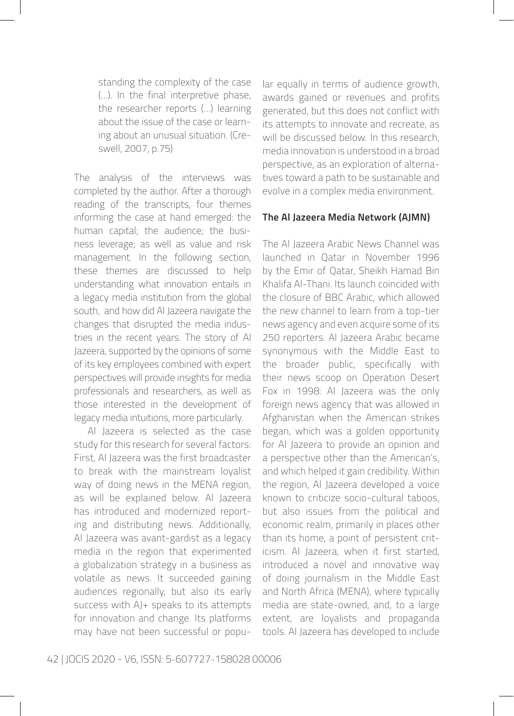standing the complexity of the case (…). In the final interpretive phase, the researcher reports (…) learning about the issue of the case or learning about an unusual situation. (Creswell, 2007, p.75)

The analysis of the interviews was completed by the author. After a thorough reading of the transcripts, four themes informing the case at hand emerged: the human capital; the audience; the business leverage; as well as value and risk management. In the following section, these themes are discussed to help understanding what innovation entails in a legacy media institution from the global south, and how did Al Jazeera navigate the changes that disrupted the media industries in the recent years. The story of Al Jazeera, supported by the opinions of some of its key employees combined with expert perspectives will provide insights for media professionals and researchers, as well as those interested in the development of legacy media intuitions, more particularly.

Al Jazeera is selected as the case study for this research for several factors: First, Al Jazeera was the first broadcaster to break with the mainstream loyalist way of doing news in the MENA region, as will be explained below. Al Jazeera has introduced and modernized reporting and distributing news. Additionally, Al Jazeera was avant-gardist as a legacy media in the region that experimented a globalization strategy in a business as volatile as news. It succeeded gaining audiences regionally, but also its early success with AJ+ speaks to its attempts for innovation and change. Its platforms may have not been successful or popular equally in terms of audience growth, awards gained or revenues and profits generated, but this does not conflict with its attempts to innovate and recreate, as will be discussed below. In this research, media innovation is understood in a broad perspective, as an exploration of alternatives toward a path to be sustainable and evolve in a complex media environment.

#### **The Al Jazeera Media Network (AJMN)**

The Al Jazeera Arabic News Channel was launched in Qatar in November 1996 by the Emir of Qatar, Sheikh Hamad Bin Khalifa Al-Thani. Its launch coincided with the closure of BBC Arabic, which allowed the new channel to learn from a top-tier news agency and even acquire some of its 250 reporters. Al Jazeera Arabic became synonymous with the Middle East to the broader public, specifically with their news scoop on Operation Desert Fox in 1998: Al Jazeera was the only foreign news agency that was allowed in Afghanistan when the American strikes began, which was a golden opportunity for Al Jazeera to provide an opinion and a perspective other than the American's, and which helped it gain credibility. Within the region, Al Jazeera developed a voice known to criticize socio-cultural taboos, but also issues from the political and economic realm, primarily in places other than its home, a point of persistent criticism. Al Jazeera, when it first started, introduced a novel and innovative way of doing journalism in the Middle East and North Africa (MENA), where typically media are state-owned, and, to a large extent, are loyalists and propaganda tools. Al Jazeera has developed to include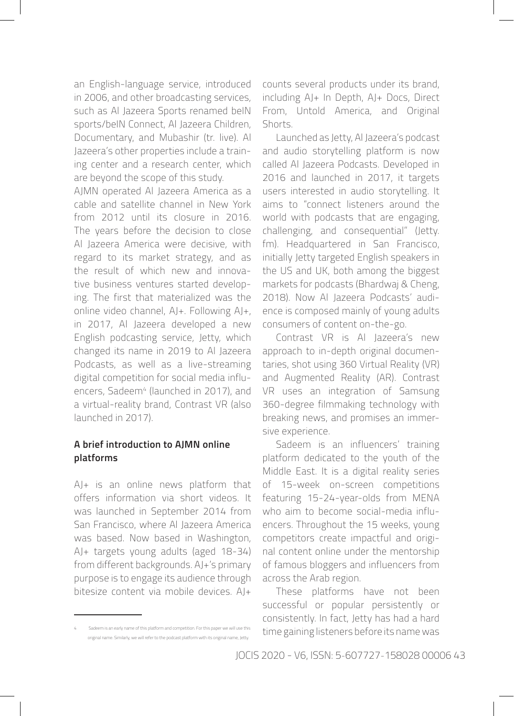an English-language service, introduced in 2006, and other broadcasting services, such as Al Jazeera Sports renamed beIN sports/beIN Connect, Al Jazeera Children, Documentary, and Mubashir (tr. live). Al Jazeera's other properties include a training center and a research center, which are beyond the scope of this study.

AJMN operated Al Jazeera America as a cable and satellite channel in New York from 2012 until its closure in 2016. The years before the decision to close Al Jazeera America were decisive, with regard to its market strategy, and as the result of which new and innovative business ventures started developing. The first that materialized was the online video channel, AJ+. Following AJ+, in 2017, Al Jazeera developed a new English podcasting service, Jetty, which changed its name in 2019 to Al Jazeera Podcasts, as well as a live-streaming digital competition for social media influencers, Sadeem<sup>4</sup> (launched in 2017), and a virtual-reality brand, Contrast VR (also launched in 2017).

#### **A brief introduction to AJMN online platforms**

AJ+ is an online news platform that offers information via short videos. It was launched in September 2014 from San Francisco, where Al Jazeera America was based. Now based in Washington, AJ+ targets young adults (aged 18-34) from different backgrounds. AJ+'s primary purpose is to engage its audience through bitesize content via mobile devices. AJ+

counts several products under its brand, including AJ+ In Depth, AJ+ Docs, Direct From, Untold America, and Original Shorts.

Launched as Jetty, Al Jazeera's podcast and audio storytelling platform is now called Al Jazeera Podcasts. Developed in 2016 and launched in 2017, it targets users interested in audio storytelling. It aims to "connect listeners around the world with podcasts that are engaging, challenging, and consequential" (Jetty. fm). Headquartered in San Francisco, initially Jetty targeted English speakers in the US and UK, both among the biggest markets for podcasts (Bhardwaj & Cheng, 2018). Now Al Jazeera Podcasts' audience is composed mainly of young adults consumers of content on-the-go.

Contrast VR is Al Jazeera's new approach to in-depth original documentaries, shot using 360 Virtual Reality (VR) and Augmented Reality (AR). Contrast VR uses an integration of Samsung 360-degree filmmaking technology with breaking news, and promises an immersive experience.

Sadeem is an influencers' training platform dedicated to the youth of the Middle East. It is a digital reality series of 15-week on-screen competitions featuring 15-24-year-olds from MENA who aim to become social-media influencers. Throughout the 15 weeks, young competitors create impactful and original content online under the mentorship of famous bloggers and influencers from across the Arab region.

These platforms have not been successful or popular persistently or consistently. In fact, Jetty has had a hard time gaining listeners before its name was

<sup>4</sup> Sadeem is an early name of this platform and competition. For this paper we will use this original name. Similarly, we will refer to the podcast platform with its original name, Jetty.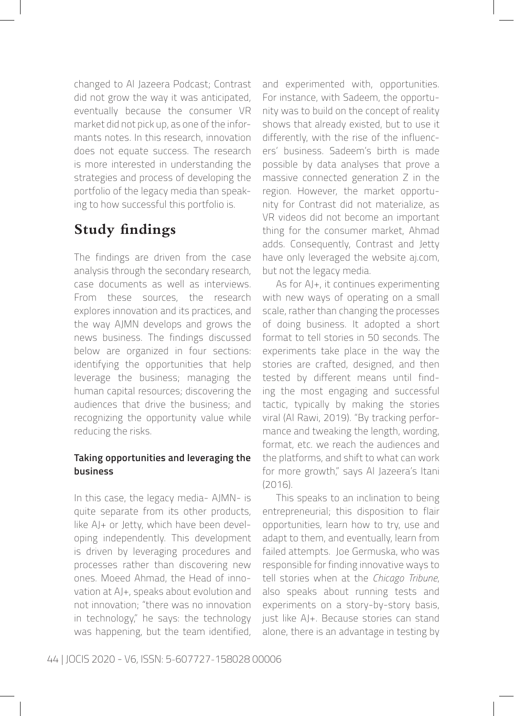changed to Al Jazeera Podcast; Contrast did not grow the way it was anticipated, eventually because the consumer VR market did not pick up, as one of the informants notes. In this research, innovation does not equate success. The research is more interested in understanding the strategies and process of developing the portfolio of the legacy media than speaking to how successful this portfolio is.

## **Study findings**

The findings are driven from the case analysis through the secondary research, case documents as well as interviews. From these sources, the research explores innovation and its practices, and the way AJMN develops and grows the news business. The findings discussed below are organized in four sections: identifying the opportunities that help leverage the business; managing the human capital resources; discovering the audiences that drive the business; and recognizing the opportunity value while reducing the risks.

#### **Taking opportunities and leveraging the business**

In this case, the legacy media- AJMN- is quite separate from its other products, like AJ+ or Jetty, which have been developing independently. This development is driven by leveraging procedures and processes rather than discovering new ones. Moeed Ahmad, the Head of innovation at AJ+, speaks about evolution and not innovation; "there was no innovation in technology," he says: the technology was happening, but the team identified, and experimented with, opportunities. For instance, with Sadeem, the opportunity was to build on the concept of reality shows that already existed, but to use it differently, with the rise of the influencers' business. Sadeem's birth is made possible by data analyses that prove a massive connected generation Z in the region. However, the market opportunity for Contrast did not materialize, as VR videos did not become an important thing for the consumer market, Ahmad adds. Consequently, Contrast and Jetty have only leveraged the website aj.com, but not the legacy media.

As for AJ+, it continues experimenting with new ways of operating on a small scale, rather than changing the processes of doing business. It adopted a short format to tell stories in 50 seconds. The experiments take place in the way the stories are crafted, designed, and then tested by different means until finding the most engaging and successful tactic, typically by making the stories viral (Al Rawi, 2019). "By tracking performance and tweaking the length, wording, format, etc. we reach the audiences and the platforms, and shift to what can work for more growth," says Al Jazeera's Itani (2016).

This speaks to an inclination to being entrepreneurial; this disposition to flair opportunities, learn how to try, use and adapt to them, and eventually, learn from failed attempts. Joe Germuska, who was responsible for finding innovative ways to tell stories when at the *Chicago Tribune*, also speaks about running tests and experiments on a story-by-story basis, just like AJ+. Because stories can stand alone, there is an advantage in testing by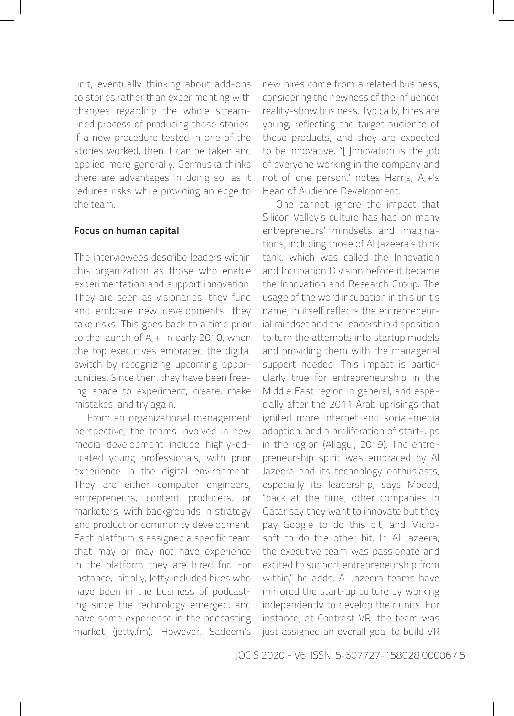unit, eventually thinking about add-ons to stories rather than experimenting with changes regarding the whole streamlined process of producing those stories. If a new procedure tested in one of the stories worked, then it can be taken and applied more generally. Germuska thinks there are advantages in doing so, as it reduces risks while providing an edge to the team.

#### **Focus on human capital**

The interviewees describe leaders within this organization as those who enable experimentation and support innovation. They are seen as visionaries, they fund and embrace new developments; they take risks. This goes back to a time prior to the launch of AJ+, in early 2010, when the top executives embraced the digital switch by recognizing upcoming opportunities. Since then, they have been freeing space to experiment, create, make mistakes, and try again.

From an organizational management perspective, the teams involved in new media development include highly-educated young professionals, with prior experience in the digital environment. They are either computer engineers, entrepreneurs, content producers, or marketers, with backgrounds in strategy and product or community development. Each platform is assigned a specific team that may or may not have experience in the platform they are hired for. For instance, initially, Jetty included hires who have been in the business of podcasting since the technology emerged, and have some experience in the podcasting market (jetty.fm). However, Sadeem's new hires come from a related business, considering the newness of the influencer reality-show business. Typically, hires are young, reflecting the target audience of these products, and they are expected to be innovative. "[I]nnovation is the job of everyone working in the company and not of one person," notes Harris, AJ+'s Head of Audience Development.

One cannot ignore the impact that Silicon Valley's culture has had on many entrepreneurs' mindsets and imaginations, including those of Al Jazeera's think tank, which was called the Innovation and Incubation Division before it became the Innovation and Research Group. The usage of the word incubation in this unit's name, in itself reflects the entrepreneurial mindset and the leadership disposition to turn the attempts into startup models and providing them with the managerial support needed, This impact is particularly true for entrepreneurship in the Middle East region in general, and especially after the 2011 Arab uprisings that ignited more Internet and social-media adoption, and a proliferation of start-ups in the region (Allagui, 2019). The entrepreneurship spirit was embraced by Al Jazeera and its technology enthusiasts, especially its leadership, says Moeed, "back at the time, other companies in Qatar say they want to innovate but they pay Google to do this bit, and Microsoft to do the other bit. In Al Jazeera, the executive team was passionate and excited to support entrepreneurship from within," he adds. Al Jazeera teams have mirrored the start-up culture by working independently to develop their units. For instance, at Contrast VR, the team was just assigned an overall goal to build VR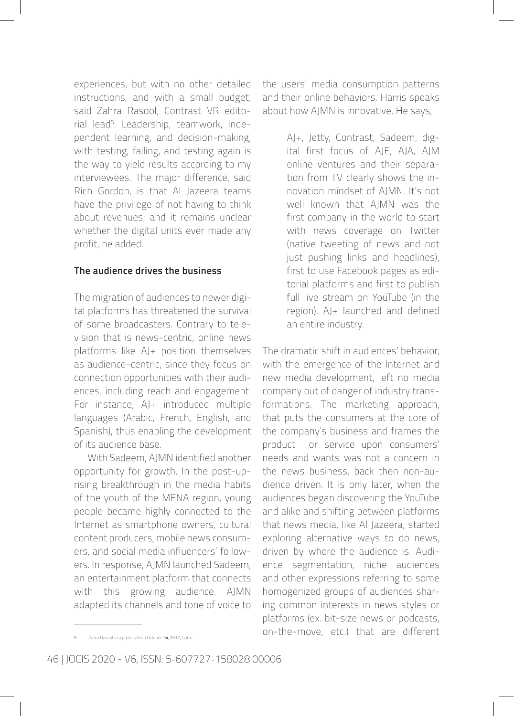experiences, but with no other detailed instructions, and with a small budget, said Zahra Rasool, Contrast VR editorial lead5. Leadership, teamwork, independent learning, and decision-making, with testing, failing, and testing again is the way to yield results according to my interviewees. The major difference, said Rich Gordon, is that Al Jazeera teams have the privilege of not having to think about revenues; and it remains unclear whether the digital units ever made any profit, he added.

#### **The audience drives the business**

The migration of audiences to newer digital platforms has threatened the survival of some broadcasters. Contrary to television that is news-centric, online news platforms like AJ+ position themselves as audience-centric, since they focus on connection opportunities with their audiences, including reach and engagement. For instance, AJ+ introduced multiple languages (Arabic, French, English, and Spanish), thus enabling the development of its audience base.

With Sadeem, AJMN identified another opportunity for growth. In the post-uprising breakthrough in the media habits of the youth of the MENA region, young people became highly connected to the Internet as smartphone owners, cultural content producers, mobile news consumers, and social media influencers' followers. In response, AJMN launched Sadeem, an entertainment platform that connects with this growing audience. AJMN adapted its channels and tone of voice to the users' media consumption patterns and their online behaviors. Harris speaks about how AJMN is innovative. He says,

> AJ+, Jetty, Contrast, Sadeem, digital first focus of AJE, AJA, AJM online ventures and their separation from TV clearly shows the innovation mindset of AJMN. It's not well known that AJMN was the first company in the world to start with news coverage on Twitter (native tweeting of news and not just pushing links and headlines), first to use Facebook pages as editorial platforms and first to publish full live stream on YouTube (in the region). AJ+ launched and defined an entire industry.

The dramatic shift in audiences' behavior, with the emergence of the Internet and new media development, left no media company out of danger of industry transformations. The marketing approach, that puts the consumers at the core of the company's business and frames the product or service upon consumers' needs and wants was not a concern in the news business, back then non-audience driven. It is only later, when the audiences began discovering the YouTube and alike and shifting between platforms that news media, like Al Jazeera, started exploring alternative ways to do news, driven by where the audience is. Audience segmentation, niche audiences and other expressions referring to some homogenized groups of audiences sharing common interests in news styles or platforms (ex. bit-size news or podcasts, on-the-move, etc.) that are different

Zahra Rasool, in a public talk on October 1st, 2017, Qatar.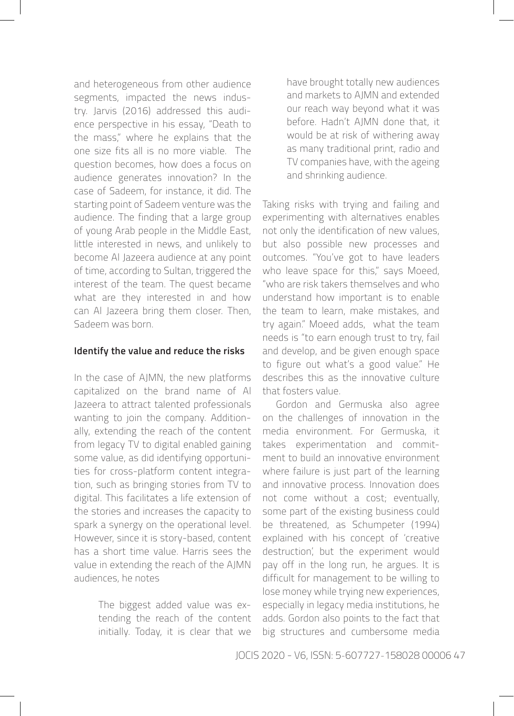and heterogeneous from other audience segments, impacted the news industry. Jarvis (2016) addressed this audience perspective in his essay, "Death to the mass," where he explains that the one size fits all is no more viable. The question becomes, how does a focus on audience generates innovation? In the case of Sadeem, for instance, it did. The starting point of Sadeem venture was the audience. The finding that a large group of young Arab people in the Middle East, little interested in news, and unlikely to become Al Jazeera audience at any point of time, according to Sultan, triggered the interest of the team. The quest became what are they interested in and how can Al Jazeera bring them closer. Then, Sadeem was born.

#### **Identify the value and reduce the risks**

In the case of AJMN, the new platforms capitalized on the brand name of Al Jazeera to attract talented professionals wanting to join the company. Additionally, extending the reach of the content from legacy TV to digital enabled gaining some value, as did identifying opportunities for cross-platform content integration, such as bringing stories from TV to digital. This facilitates a life extension of the stories and increases the capacity to spark a synergy on the operational level. However, since it is story-based, content has a short time value. Harris sees the value in extending the reach of the AJMN audiences, he notes

> The biggest added value was extending the reach of the content initially. Today, it is clear that we

have brought totally new audiences and markets to AJMN and extended our reach way beyond what it was before. Hadn't AJMN done that, it would be at risk of withering away as many traditional print, radio and TV companies have, with the ageing and shrinking audience.

Taking risks with trying and failing and experimenting with alternatives enables not only the identification of new values, but also possible new processes and outcomes. "You've got to have leaders who leave space for this," says Moeed, "who are risk takers themselves and who understand how important is to enable the team to learn, make mistakes, and try again." Moeed adds, what the team needs is "to earn enough trust to try, fail and develop, and be given enough space to figure out what's a good value." He describes this as the innovative culture that fosters value.

Gordon and Germuska also agree on the challenges of innovation in the media environment. For Germuska, it takes experimentation and commitment to build an innovative environment where failure is just part of the learning and innovative process. Innovation does not come without a cost; eventually, some part of the existing business could be threatened, as Schumpeter (1994) explained with his concept of 'creative destruction', but the experiment would pay off in the long run, he argues. It is difficult for management to be willing to lose money while trying new experiences, especially in legacy media institutions, he adds. Gordon also points to the fact that big structures and cumbersome media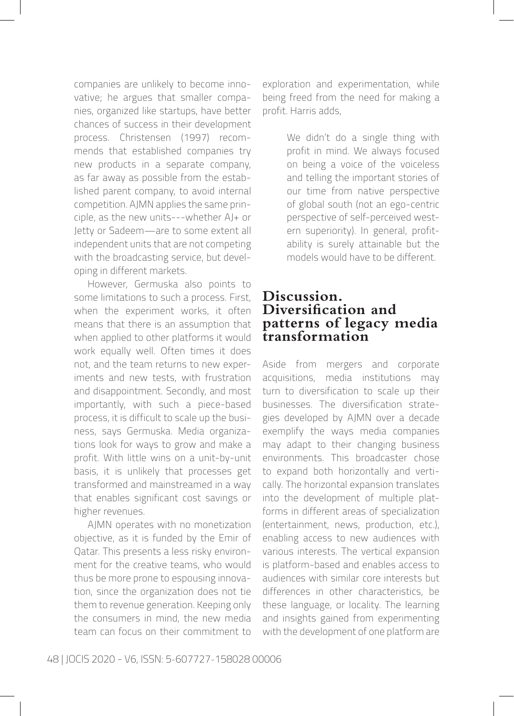companies are unlikely to become innovative; he argues that smaller companies, organized like startups, have better chances of success in their development process. Christensen (1997) recommends that established companies try new products in a separate company, as far away as possible from the established parent company, to avoid internal competition. AJMN applies the same principle, as the new units---whether AJ+ or Jetty or Sadeem—are to some extent all independent units that are not competing with the broadcasting service, but developing in different markets.

However, Germuska also points to some limitations to such a process. First, when the experiment works, it often means that there is an assumption that when applied to other platforms it would work equally well. Often times it does not, and the team returns to new experiments and new tests, with frustration and disappointment. Secondly, and most importantly, with such a piece-based process, it is difficult to scale up the business, says Germuska. Media organizations look for ways to grow and make a profit. With little wins on a unit-by-unit basis, it is unlikely that processes get transformed and mainstreamed in a way that enables significant cost savings or higher revenues.

AJMN operates with no monetization objective, as it is funded by the Emir of Qatar. This presents a less risky environment for the creative teams, who would thus be more prone to espousing innovation, since the organization does not tie them to revenue generation. Keeping only the consumers in mind, the new media team can focus on their commitment to exploration and experimentation, while being freed from the need for making a profit. Harris adds,

> We didn't do a single thing with profit in mind. We always focused on being a voice of the voiceless and telling the important stories of our time from native perspective of global south (not an ego-centric perspective of self-perceived western superiority). In general, profitability is surely attainable but the models would have to be different.

### **Discussion. Diversification and patterns of legacy media transformation**

Aside from mergers and corporate acquisitions, media institutions may turn to diversification to scale up their businesses. The diversification strategies developed by AJMN over a decade exemplify the ways media companies may adapt to their changing business environments. This broadcaster chose to expand both horizontally and vertically. The horizontal expansion translates into the development of multiple platforms in different areas of specialization (entertainment, news, production, etc.), enabling access to new audiences with various interests. The vertical expansion is platform-based and enables access to audiences with similar core interests but differences in other characteristics, be these language, or locality. The learning and insights gained from experimenting with the development of one platform are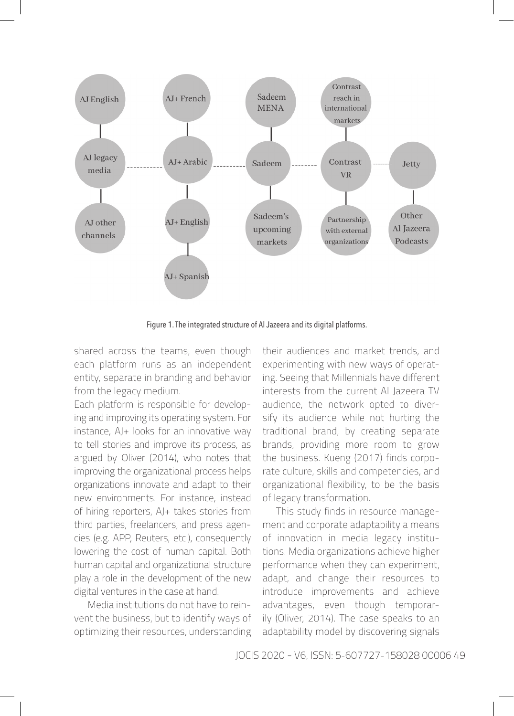

Figure 1. The integrated structure of Al Jazeera and its digital platforms.

shared across the teams, even though each platform runs as an independent entity, separate in branding and behavior from the legacy medium.

Each platform is responsible for developing and improving its operating system. For instance, AJ+ looks for an innovative way to tell stories and improve its process, as argued by Oliver (2014), who notes that improving the organizational process helps organizations innovate and adapt to their new environments. For instance, instead of hiring reporters, AJ+ takes stories from third parties, freelancers, and press agencies (e.g. APP, Reuters, etc.), consequently lowering the cost of human capital. Both human capital and organizational structure play a role in the development of the new digital ventures in the case at hand.

Media institutions do not have to reinvent the business, but to identify ways of optimizing their resources, understanding their audiences and market trends, and experimenting with new ways of operating. Seeing that Millennials have different interests from the current Al Jazeera TV audience, the network opted to diversify its audience while not hurting the traditional brand, by creating separate brands, providing more room to grow the business. Kueng (2017) finds corporate culture, skills and competencies, and organizational flexibility, to be the basis of legacy transformation.

This study finds in resource management and corporate adaptability a means of innovation in media legacy institutions. Media organizations achieve higher performance when they can experiment, adapt, and change their resources to introduce improvements and achieve advantages, even though temporarily (Oliver, 2014). The case speaks to an adaptability model by discovering signals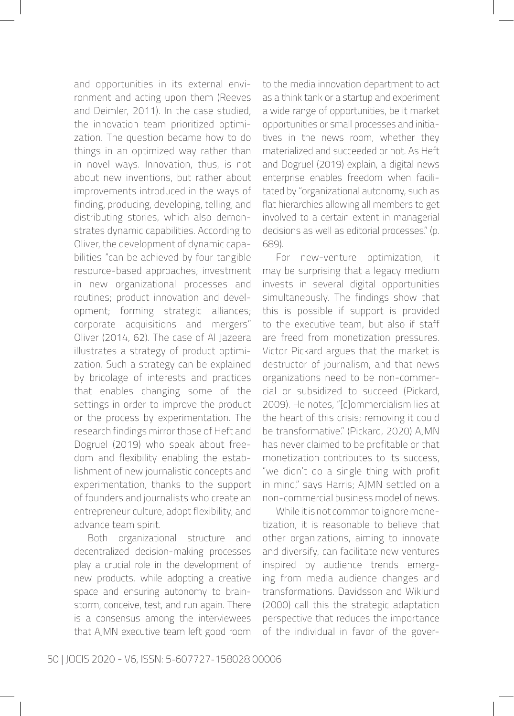and opportunities in its external environment and acting upon them (Reeves and Deimler, 2011). In the case studied, the innovation team prioritized optimization. The question became how to do things in an optimized way rather than in novel ways. Innovation, thus, is not about new inventions, but rather about improvements introduced in the ways of finding, producing, developing, telling, and distributing stories, which also demonstrates dynamic capabilities. According to Oliver, the development of dynamic capabilities "can be achieved by four tangible resource-based approaches; investment in new organizational processes and routines; product innovation and development; forming strategic alliances; corporate acquisitions and mergers" Oliver (2014, 62). The case of Al Jazeera illustrates a strategy of product optimization. Such a strategy can be explained by bricolage of interests and practices that enables changing some of the settings in order to improve the product or the process by experimentation. The research findings mirror those of Heft and Dogruel (2019) who speak about freedom and flexibility enabling the establishment of new journalistic concepts and experimentation, thanks to the support of founders and journalists who create an entrepreneur culture, adopt flexibility, and advance team spirit.

Both organizational structure and decentralized decision-making processes play a crucial role in the development of new products, while adopting a creative space and ensuring autonomy to brainstorm, conceive, test, and run again. There is a consensus among the interviewees that AJMN executive team left good room to the media innovation department to act as a think tank or a startup and experiment a wide range of opportunities, be it market opportunities or small processes and initiatives in the news room, whether they materialized and succeeded or not. As Heft and Dogruel (2019) explain, a digital news enterprise enables freedom when facilitated by "organizational autonomy, such as flat hierarchies allowing all members to get involved to a certain extent in managerial decisions as well as editorial processes." (p. 689).

For new-venture optimization, it may be surprising that a legacy medium invests in several digital opportunities simultaneously. The findings show that this is possible if support is provided to the executive team, but also if staff are freed from monetization pressures. Victor Pickard argues that the market is destructor of journalism, and that news organizations need to be non-commercial or subsidized to succeed (Pickard, 2009). He notes, "[c]ommercialism lies at the heart of this crisis; removing it could be transformative." (Pickard, 2020) AJMN has never claimed to be profitable or that monetization contributes to its success, "we didn't do a single thing with profit in mind," says Harris; AJMN settled on a non-commercial business model of news.

While it is not common to ignore monetization, it is reasonable to believe that other organizations, aiming to innovate and diversify, can facilitate new ventures inspired by audience trends emerging from media audience changes and transformations. Davidsson and Wiklund (2000) call this the strategic adaptation perspective that reduces the importance of the individual in favor of the gover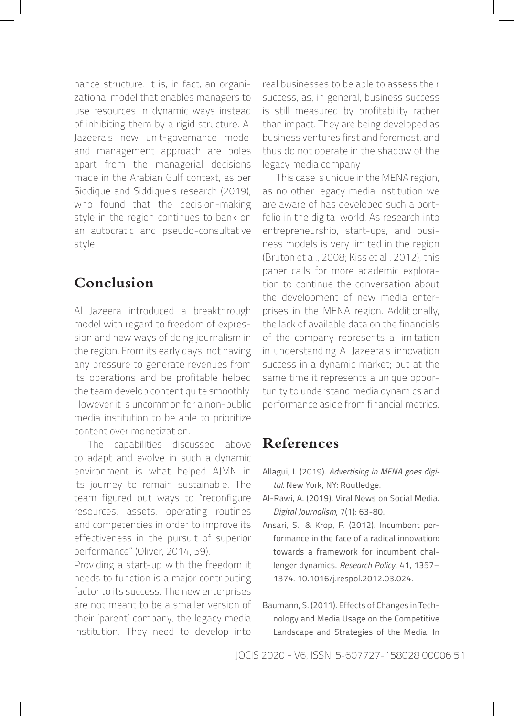nance structure. It is, in fact, an organizational model that enables managers to use resources in dynamic ways instead of inhibiting them by a rigid structure. Al Jazeera's new unit-governance model and management approach are poles apart from the managerial decisions made in the Arabian Gulf context, as per Siddique and Siddique's research (2019), who found that the decision-making style in the region continues to bank on an autocratic and pseudo-consultative style.

## **Conclusion**

Al Jazeera introduced a breakthrough model with regard to freedom of expression and new ways of doing journalism in the region. From its early days, not having any pressure to generate revenues from its operations and be profitable helped the team develop content quite smoothly. However it is uncommon for a non-public media institution to be able to prioritize content over monetization.

The capabilities discussed above to adapt and evolve in such a dynamic environment is what helped AJMN in its journey to remain sustainable. The team figured out ways to "reconfigure resources, assets, operating routines and competencies in order to improve its effectiveness in the pursuit of superior performance" (Oliver, 2014, 59).

Providing a start-up with the freedom it needs to function is a major contributing factor to its success. The new enterprises are not meant to be a smaller version of their 'parent' company, the legacy media institution. They need to develop into real businesses to be able to assess their success, as, in general, business success is still measured by profitability rather than impact. They are being developed as business ventures first and foremost, and thus do not operate in the shadow of the legacy media company.

This case is unique in the MENA region, as no other legacy media institution we are aware of has developed such a portfolio in the digital world. As research into entrepreneurship, start-ups, and business models is very limited in the region (Bruton et al., 2008; Kiss et al., 2012), this paper calls for more academic exploration to continue the conversation about the development of new media enterprises in the MENA region. Additionally, the lack of available data on the financials of the company represents a limitation in understanding Al Jazeera's innovation success in a dynamic market; but at the same time it represents a unique opportunity to understand media dynamics and performance aside from financial metrics.

## **References**

- Allagui, I. (2019). *Advertising in MENA goes digital.* New York, NY: Routledge.
- Al-Rawi, A. (2019). Viral News on Social Media. *Digital Journalism*, 7(1): 63-80.
- Ansari, S., & Krop, P. (2012). Incumbent performance in the face of a radical innovation: towards a framework for incumbent challenger dynamics. *Research Policy*, 41, 1357– 1374. 10.1016/j.respol.2012.03.024.
- Baumann, S. (2011). Effects of Changes in Technology and Media Usage on the Competitive Landscape and Strategies of the Media. In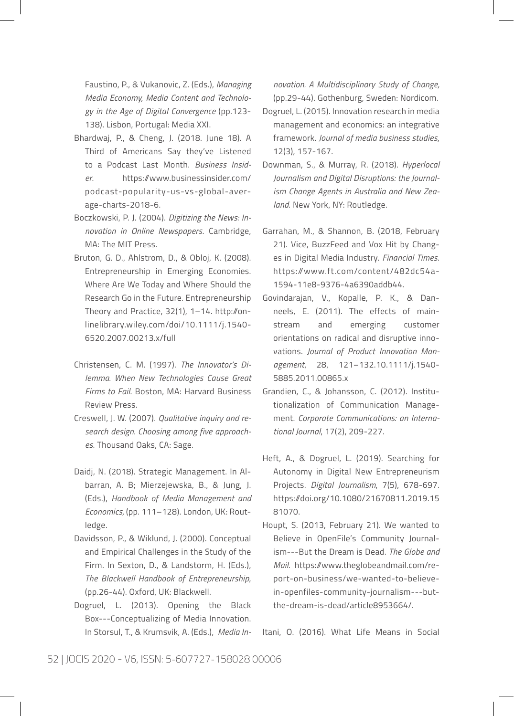Faustino, P., & Vukanovic, Z. (Eds.), *Managing Media Economy, Media Content and Technology in the Age of Digital Convergence* (pp.123- 138). Lisbon, Portugal: Media XXI.

- Bhardwaj, P., & Cheng, J. (2018. June 18). A Third of Americans Say they've Listened to a Podcast Last Month. *Business Insider*. https://www.businessinsider.com/ podcast-popularity-us-vs-global-average-charts-2018-6.
- Boczkowski, P. J. (2004). *Digitizing the News: Innovation in Online Newspapers*. Cambridge, MA: The MIT Press.
- Bruton, G. D., Ahlstrom, D., & Obloj, K. (2008). Entrepreneurship in Emerging Economies. Where Are We Today and Where Should the Research Go in the Future. Entrepreneurship Theory and Practice, 32(1), 1–14. http://onlinelibrary.wiley.com/doi/10.1111/j.1540- 6520.2007.00213.x/full
- Christensen, C. M. (1997). *The Innovator's Dilemma. When New Technologies Cause Great Firms to Fail*. Boston, MA: Harvard Business Review Press.
- Creswell, J. W. (2007). *Qualitative inquiry and research design. Choosing among five approaches*. Thousand Oaks, CA: Sage.
- Daidj, N. (2018). Strategic Management. In Albarran, A. B; Mierzejewska, B., & Jung, J. (Eds.), *Handbook of Media Management and Economics,* (pp. 111–128). London, UK: Routledge.
- Davidsson, P., & Wiklund, J. (2000). Conceptual and Empirical Challenges in the Study of the Firm. In Sexton, D., & Landstorm, H. (Eds.), *The Blackwell Handbook of Entrepreneurship*, (pp.26-44). Oxford, UK: Blackwell.
- Dogruel, L. (2013). Opening the Black Box---Conceptualizing of Media Innovation. In Storsul, T., & Krumsvik, A. (Eds.), *Media In-*

*novation. A Multidisciplinary Study of Change,* (pp.29-44). Gothenburg, Sweden: Nordicom.

- Dogruel, L. (2015). Innovation research in media management and economics: an integrative framework. *Journal of media business studies*, 12(3), 157-167.
- Downman, S., & Murray, R. (2018). *Hyperlocal Journalism and Digital Disruptions: the Journalism Change Agents in Australia and New Zealand*. New York, NY: Routledge.
- Garrahan, M., & Shannon, B. (2018, February 21). Vice, BuzzFeed and Vox Hit by Changes in Digital Media Industry. *Financial Times*. https://www.ft.com/content/482dc54a-1594-11e8-9376-4a6390addb44.
- Govindarajan, V., Kopalle, P. K., & Danneels, E. (2011). The effects of mainstream and emerging customer orientations on radical and disruptive innovations. *Journal of Product Innovation Management*, 28, 121–132.10.1111/j.1540- 5885.2011.00865.x
- Grandien, C., & Johansson, C. (2012). Institutionalization of Communication Management. *Corporate Communications: an International Journal*, 17(2), 209-227.
- Heft, A., & Dogruel, L. (2019). Searching for Autonomy in Digital New Entrepreneurism Projects. *Digital Journalism*, 7(5), 678-697. https://doi.org/10.1080/21670811.2019.15 81070.
- Houpt, S. (2013, February 21). We wanted to Believe in OpenFile's Community Journalism---But the Dream is Dead. *The Globe and Mail*. https://www.theglobeandmail.com/report-on-business/we-wanted-to-believein-openfiles-community-journalism---butthe-dream-is-dead/article8953664/.

Itani, O. (2016). What Life Means in Social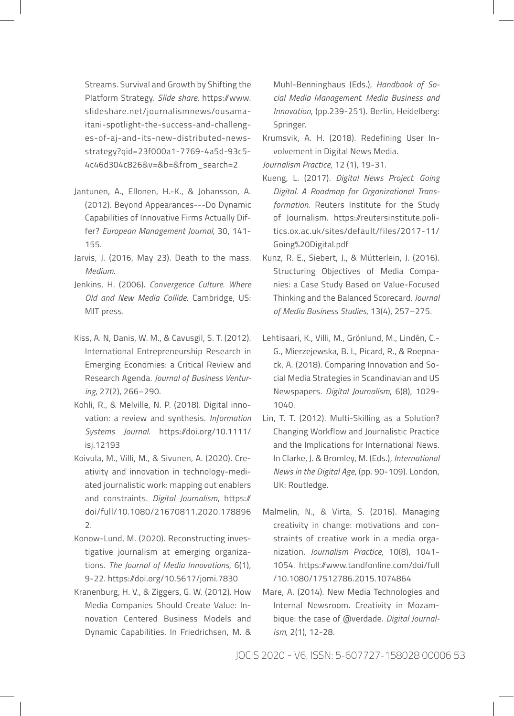Streams. Survival and Growth by Shifting the Platform Strategy. *Slide share*. https://www. slideshare.net/journalismnews/ousamaitani-spotlight-the-success-and-challenges-of-aj-and-its-new-distributed-newsstrategy?qid=23f000a1-7769-4a5d-93c5- 4c46d304c826&v=&b=&from\_search=2

- Jantunen, A., Ellonen, H.-K., & Johansson, A. (2012). Beyond Appearances---Do Dynamic Capabilities of Innovative Firms Actually Differ? *European Management Journal*, 30, 141- 155.
- Jarvis, J. (2016, May 23). Death to the mass. *Medium*.
- Jenkins, H. (2006). *Convergence Culture. Where Old and New Media Collide*. Cambridge, US: MIT press.
- Kiss, A. N, Danis, W. M., & Cavusgil, S. T. (2012). International Entrepreneurship Research in Emerging Economies: a Critical Review and Research Agenda. *Journal of Business Venturing*, 27(2), 266–290.
- Kohli, R., & Melville, N. P. (2018). Digital innovation: a review and synthesis. *Information Systems Journal*. https://doi.org/10.1111/ isj.12193
- Koivula, M., Villi, M., & Sivunen, A. (2020). Creativity and innovation in technology-mediated journalistic work: mapping out enablers and constraints. *Digital Journalism*, https:// doi/full/10.1080/21670811.2020.178896 2.
- Konow-Lund, M. (2020). Reconstructing investigative journalism at emerging organizations. *The Journal of Media Innovations*, 6(1), 9-22. https://doi.org/10.5617/jomi.7830
- Kranenburg, H. V., & Ziggers, G. W. (2012). How Media Companies Should Create Value: Innovation Centered Business Models and Dynamic Capabilities. In Friedrichsen, M. &

Muhl-Benninghaus (Eds.), *Handbook of Social Media Management. Media Business and Innovation*, (pp.239-251). Berlin, Heidelberg: Springer.

Krumsvik, A. H. (2018). Redefining User Involvement in Digital News Media.

*Journalism Practice*, 12 (1), 19-31.

- Kueng, L. (2017). *Digital News Project. Going Digital. A Roadmap for Organizational Transformation*. Reuters Institute for the Study of Journalism. https://reutersinstitute.politics.ox.ac.uk/sites/default/files/2017-11/ Going%20Digital.pdf
- Kunz, R. E., Siebert, J., & Mütterlein, J. (2016). Structuring Objectives of Media Companies: a Case Study Based on Value-Focused Thinking and the Balanced Scorecard. *Journal of Media Business Studies*, 13(4), 257–275.
- Lehtisaari, K., Villi, M., Grönlund, M., Lindén, C.- G., Mierzejewska, B. I., Picard, R., & Roepnack, A. (2018). Comparing Innovation and Social Media Strategies in Scandinavian and US Newspapers. *Digital Journalism*, 6(8), 1029- 1040.
- Lin, T. T. (2012). Multi-Skilling as a Solution? Changing Workflow and Journalistic Practice and the Implications for International News. In Clarke, J. & Bromley, M. (Eds.), *International News in the Digital Age*, (pp. 90-109). London, UK: Routledge.
- Malmelin, N., & Virta, S. (2016). Managing creativity in change: motivations and constraints of creative work in a media organization. *Journalism Practice*, 10(8), 1041- 1054. https://www.tandfonline.com/doi/full /10.1080/17512786.2015.1074864
- Mare, A. (2014). New Media Technologies and Internal Newsroom. Creativity in Mozambique: the case of @verdade. *Digital Journalism*, 2(1), 12-28.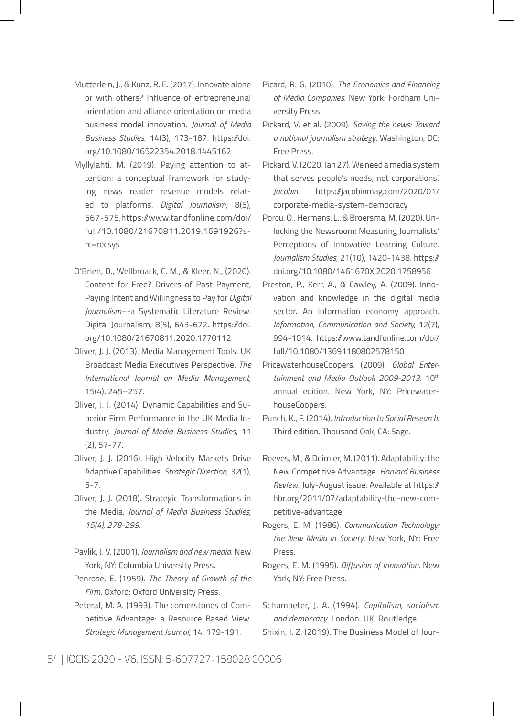- Mutterlein, J., & Kunz, R. E. (2017). Innovate alone or with others? Influence of entrepreneurial orientation and alliance orientation on media business model innovation. *Journal of Media Business Studies*, 14(3), 173-187. https://doi. org/10.1080/16522354.2018.1445162
- Myllylahti, M. (2019). Paying attention to attention: a conceptual framework for studying news reader revenue models related to platforms. *Digital Journalism*, 8(5), 567-575,https://www.tandfonline.com/doi/ full/10.1080/21670811.2019.1691926?src=recsys
- O'Brien, D., Wellbroack, C. M., & Kleer, N., (2020). Content for Free? Drivers of Past Payment, Paying Intent and Willingness to Pay for *Digital Journalism*–-a Systematic Literature Review. Digital Journalism, 8(5), 643-672. https://doi. org/10.1080/21670811.2020.1770112
- Oliver, J. J. (2013). Media Management Tools: UK Broadcast Media Executives Perspective. *The International Journal on Media Management*, 15(4), 245–257.
- Oliver, J. J. (2014). Dynamic Capabilities and Superior Firm Performance in the UK Media Industry. *Journal of Media Business Studies*, 11 (2), 57-77.
- Oliver, J. J. (2016). High Velocity Markets Drive Adaptive Capabilities. *Strategic Direction, 32*(1), 5-7.
- Oliver, J. J. (2018). Strategic Transformations in the Media. *Journal of Media Business Studies, 15(4), 278-299.*
- Pavlik, J. V. (2001). *Journalism and new media*. New York, NY: Columbia University Press.
- Penrose, E. (1959). *The Theory of Growth of the Firm*. Oxford: Oxford University Press.
- Peteraf, M. A. (1993). The cornerstones of Competitive Advantage: a Resource Based View. *Strategic Management Journal*, 14, 179-191.
- Picard, R. G. (2010). *The Economics and Financing of Media Companies*. New York: Fordham University Press.
- Pickard, V. et al. (2009). *Saving the news: Toward a national journalism strategy*. Washington, DC: Free Press.
- Pickard, V. (2020, Jan 27). We need a media system that serves people's needs, not corporations'. *Jacobin*. https://jacobinmag.com/2020/01/ corporate-media-system-democracy
- Porcu, O., Hermans, L., & Broersma, M. (2020). Unlocking the Newsroom: Measuring Journalists' Perceptions of Innovative Learning Culture. *Journalism Studies*, 21(10), 1420-1438. https:// doi.org/10.1080/1461670X.2020.1758956
- Preston, P., Kerr, A., & Cawley, A. (2009). Innovation and knowledge in the digital media sector. An information economy approach. *Information, Communication and Society,* 12(7), 994-1014. https://www.tandfonline.com/doi/ full/10.1080/13691180802578150
- PricewaterhouseCoopers. (2009). *Global Entertainment and Media Outlook 2009-2013*. 10th annual edition. New York, NY: PricewaterhouseCoopers.
- Punch, K., F. (2014). *Introduction to Social Research*. Third edition. Thousand Oak, CA: Sage.
- Reeves, M., & Deimler, M. (2011). Adaptability: the New Competitive Advantage. *Harvard Business Review*. July-August issue. Available at https:// hbr.org/2011/07/adaptability-the-new-competitive-advantage.
- Rogers, E. M. (1986). *Communication Technology: the New Media in Society*. New York, NY: Free Press.
- Rogers, E. M. (1995). *Diffusion of Innovation*. New York, NY: Free Press.
- Schumpeter, J. A. (1994). *Capitalism, socialism and democracy*. London, UK: Routledge. Shixin, I. Z. (2019). The Business Model of Jour-